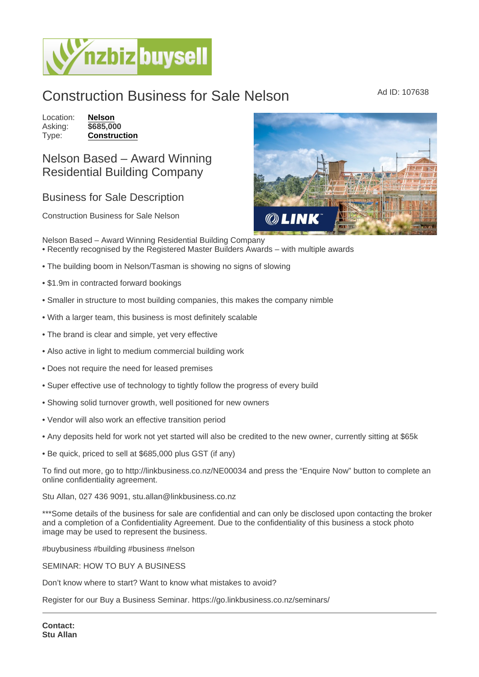## Construction Business for Sale Nelson Ad ID: 107638

Location: [Nelson](https://www.nzbizbuysell.co.nz/businesses-for-sale/location/Nelson) Asking: \$685,000<br>Type: **Construct** [Construction](https://www.nzbizbuysell.co.nz/businesses-for-sale/Construction/New-Zealand)

## Nelson Based – Award Winning Residential Building Company

## Business for Sale Description

Construction Business for Sale Nelson

Nelson Based – Award Winning Residential Building Company • Recently recognised by the Registered Master Builders Awards – with multiple awards

- The building boom in Nelson/Tasman is showing no signs of slowing
- \$1.9m in contracted forward bookings
- Smaller in structure to most building companies, this makes the company nimble
- With a larger team, this business is most definitely scalable
- The brand is clear and simple, yet very effective
- Also active in light to medium commercial building work
- Does not require the need for leased premises
- Super effective use of technology to tightly follow the progress of every build
- Showing solid turnover growth, well positioned for new owners
- Vendor will also work an effective transition period
- Any deposits held for work not yet started will also be credited to the new owner, currently sitting at \$65k
- Be quick, priced to sell at \$685,000 plus GST (if any)

To find out more, go to http://linkbusiness.co.nz/NE00034 and press the "Enquire Now" button to complete an online confidentiality agreement.

Stu Allan, 027 436 9091, stu.allan@linkbusiness.co.nz

\*\*\*Some details of the business for sale are confidential and can only be disclosed upon contacting the broker and a completion of a Confidentiality Agreement. Due to the confidentiality of this business a stock photo image may be used to represent the business.

#buybusiness #building #business #nelson

SEMINAR: HOW TO BUY A BUSINESS

Don't know where to start? Want to know what mistakes to avoid?

Register for our Buy a Business Seminar. https://go.linkbusiness.co.nz/seminars/